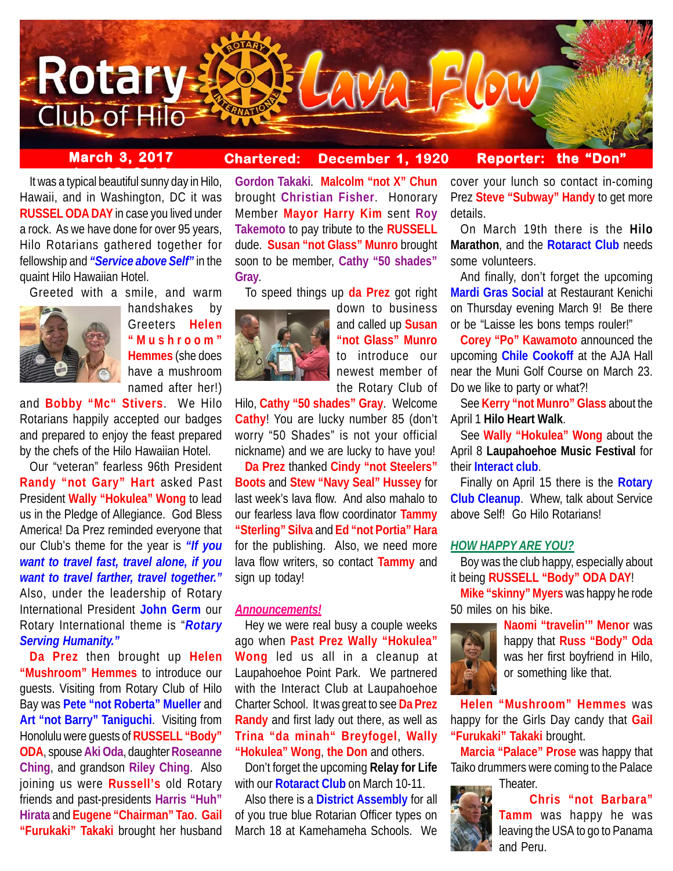

# **March 3, 2017 Chartered: December 1, 1920**

## **Reporter: the "Don"**

It was a typical beautiful sunny day in Hilo, Hawaii, and in Washington, DC it was **RUSSEL ODA DAY** in case you lived under a rock. As we have done for over 95 years, Hilo Rotarians gathered together for fellowship and *"Service above Self"* in the quaint Hilo Hawaiian Hotel.



handshakes by Greeters **Helen "Mushroom" Hemmes** (she does have a mushroom

named after her!)

and **Bobby "Mc" Stivers**. We Hilo Rotarians happily accepted our badges and prepared to enjoy the feast prepared by the chefs of the Hilo Hawaiian Hotel.

Our "veteran" fearless 96th President **Randy "not Gary" Hart** asked Past President **Wally "Hokulea" Wong** to lead us in the Pledge of Allegiance. God Bless America! Da Prez reminded everyone that our Club's theme for the year is *"If you want to travel fast, travel alone, if you want to travel farther, travel together."* Also, under the leadership of Rotary International President **John Germ** our Rotary International theme is "*Rotary Serving Humanity."*

**Da Prez** then brought up **Helen "Mushroom" Hemmes** to introduce our guests. Visiting from Rotary Club of Hilo Bay was **Pete "not Roberta" Mueller** and **Art "not Barry" Taniguchi**. Visiting from Honolulu were guests of **RUSSELL "Body" ODA**, spouse **Aki Oda**, daughter **Roseanne Ching**, and grandson **Riley Ching**. Also joining us were **Russell's** old Rotary friends and past-presidents **Harris "Huh" Hirata** and **Eugene "Chairman" Tao**. **Gail "Furukaki" Takaki** brought her husband

**Gordon Takaki**. **Malcolm "not X" Chun** brought **Christian Fisher**. Honorary Member **Mayor Harry Kim** sent **Roy Takemoto** to pay tribute to the **RUSSELL** dude. **Susan "not Glass" Munro** brought soon to be member, **Cathy "50 shades" Gray**.

To speed things up **da Prez** got right



down to business and called up **Susan "not Glass" Munro** to introduce our newest member of the Rotary Club of

Hilo, **Cathy "50 shades" Gray**. Welcome **Cathy**! You are lucky number 85 (don't worry "50 Shades" is not your official nickname) and we are lucky to have you!

**Da Prez** thanked **Cindy "not Steelers" Boots** and **Stew "Navy Seal" Hussey** for last week's lava flow. And also mahalo to our fearless lava flow coordinator **Tammy "Sterling" Silva** and **Ed "not Portia" Hara** for the publishing. Also, we need more lava flow writers, so contact **Tammy** and sign up today!

### *Announcements!*

Hey we were real busy a couple weeks ago when **Past Prez Wally "Hokulea" Wong** led us all in a cleanup at Laupahoehoe Point Park. We partnered with the Interact Club at Laupahoehoe Charter School. It was great to see **Da Prez Randy** and first lady out there, as well as **Trina "da minah" Breyfogel**, **Wally "Hokulea" Wong**, **the Don** and others.

Don't forget the upcoming **Relay for Life** with our **Rotaract Club** on March 10-11.

Also there is a **District Assembly** for all of you true blue Rotarian Officer types on March 18 at Kamehameha Schools. We

cover your lunch so contact in-coming Prez **Steve "Subway" Handy** to get more details.

On March 19th there is the **Hilo Marathon**, and the **Rotaract Club** needs some volunteers.

And finally, don't forget the upcoming **Mardi Gras Social** at Restaurant Kenichi on Thursday evening March 9! Be there or be "Laisse les bons temps rouler!"

**Corey "Po" Kawamoto** announced the upcoming **Chile Cookoff** at the AJA Hall near the Muni Golf Course on March 23. Do we like to party or what?!

See **Kerry "not Munro" Glass** about the April 1 **Hilo Heart Walk**.

See **Wally "Hokulea" Wong** about the April 8 **Laupahoehoe Music Festival** for their **Interact club**.

Finally on April 15 there is the **Rotary Club Cleanup**. Whew, talk about Service above Self! Go Hilo Rotarians!

### *HOW HAPPY ARE YOU?*

Boy was the club happy, especially about it being **RUSSELL "Body" ODA DAY**!

**Mike "skinny" Myers** was happy he rode 50 miles on his bike.



**Naomi "travelin'" Menor** was happy that **Russ "Body" Oda** was her first boyfriend in Hilo, or something like that.

**Helen "Mushroom" Hemmes** was happy for the Girls Day candy that **Gail "Furukaki" Takaki** brought.

**Marcia "Palace" Prose** was happy that Taiko drummers were coming to the Palace

**Theater** 



**Chris "not Barbara"**

**Tamm** was happy he was leaving the USA to go to Panama and Peru.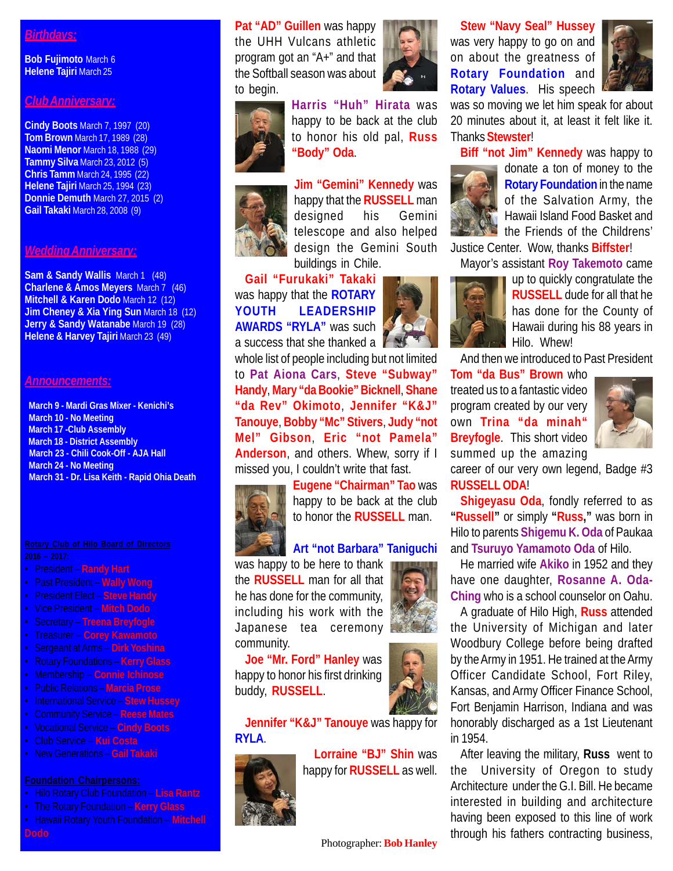## *Birthdays:*

**Bob Fujimoto** March 6 **Helene Tajiri** March 25

## *Club Anniversary:*

**Cindy Boots** March 7, 1997 (20) **Tom Brown** March 17, 1989 (28) **Naomi Menor** March 18, 1988 (29) **Tammy Silva** March 23, 2012 (5) **Chris Tamm** March 24, 1995 (22) **Helene Tajiri** March 25, 1994 (23) **Donnie Demuth** March 27, 2015 (2) **Gail Takaki** March 28, 2008 (9)

## *Wedding Anniversary:*

**Sam & Sandy Wallis** March 1 (48) **Charlene & Amos Meyers** March 7 (46) **Mitchell & Karen Dodo** March 12 (12) **Jim Cheney & Xia Ying Sun March 18 (12) Jerry & Sandy Watanabe** March 19 (28) **Helene & Harvey Tajiri** March 23 (49)

#### *Announcements:*

 **March 9 - Mardi Gras Mixer - Kenichi's March 10 - No Meeting March 17 -Club Assembly March 18 - District Assembly March 23 - Chili Cook-Off - AJA Hall March 24 - No Meeting March 31 - Dr. Lisa Keith - Rapid Ohia Death**

- President **Randy Hart**
- Past President **Wally Wong**
- President Elect **Steve Handy**
- Vice President **Mitch Dodo**
- Secretary **Treena Breyfogle**
- Treasurer **Corey Kawamoto**
- Sergeant at Arms **Dirk Yoshina**
- 
- Membership **Connie Ichinose**
- Public Relations **Marcia Prose**
- International Service **Stew Hussey**
- Community Service **Reese Mates**
- Vocational Service **Cindy Boots**
- Club Service **Kui Costa**
- New Generations **Gail Takaki**

- Hilo Rotary Club Foundation **Lisa Rantz**
- The Rotary Foundation **Kerry Glass**
- Hawaii Rotary Youth Foundation **Mitchell**

**Pat "AD" Guillen** was happy the UHH Vulcans athletic program got an "A+" and that the Softball season was about to begin.



**Harris "Huh" Hirata** was happy to be back at the club to honor his old pal, **Russ "Body" Oda**.



**Jim "Gemini" Kennedy** was happy that the **RUSSELL** man designed his Gemini telescope and also helped design the Gemini South buildings in Chile.

**Gail "Furukaki" Takaki** was happy that the **ROTARY YOUTH LEADERSHIP AWARDS "RYLA"** was such

a success that she thanked a  $\mathbb I$ whole list of people including but not limited to **Pat Aiona Cars**, **Steve "Subway" Handy**, **Mary "da Bookie" Bicknell**, **Shane "da Rev" Okimoto**, **Jennifer "K&J" Tanouye**, **Bobby "Mc" Stivers**, **Judy "not Mel" Gibson**, **Eric "not Pamela" Anderson**, and others. Whew, sorry if I missed you, I couldn't write that fast.



**Eugene "Chairman" Tao** was happy to be back at the club to honor the **RUSSELL** man.

### **Art "not Barbara" Taniguchi**

was happy to be here to thank the **RUSSELL** man for all that he has done for the community, including his work with the Japanese tea ceremony community.

**Joe "Mr. Ford" Hanley** was happy to honor his first drinking buddy, **RUSSELL**.



**Lorraine "BJ" Shin** was happy for **RUSSELL** as well.

was very happy to go on and on about the greatness of **Rotary Foundation** and **Rotary Values**. His speech

**Stew "Navy Seal" Hussey**



was so moving we let him speak for about 20 minutes about it, at least it felt like it. Thanks **Stewster**!

**Biff "not Jim" Kennedy** was happy to



donate a ton of money to the **Rotary Foundation** in the name of the Salvation Army, the Hawaii Island Food Basket and the Friends of the Childrens'

Justice Center. Wow, thanks **Biffster**!

Mayor's assistant **Roy Takemoto** came



up to quickly congratulate the **RUSSELL** dude for all that he has done for the County of Hawaii during his 88 years in Hilo. Whew!

And then we introduced to Past President

**Tom "da Bus" Brown** who treated us to a fantastic video program created by our very own **Trina "da minah" Breyfogle**. This short video summed up the amazing



career of our very own legend, Badge #3 **RUSSELL ODA**!

**Shigeyasu Oda**, fondly referred to as **"Russell"** or simply **"Russ,"** was born in Hilo to parents **Shigemu K. Oda** of Paukaa and **Tsuruyo Yamamoto Oda** of Hilo.

He married wife **Akiko** in 1952 and they have one daughter, **Rosanne A. Oda-Ching** who is a school counselor on Oahu.

A graduate of Hilo High, **Russ** attended the University of Michigan and later Woodbury College before being drafted by the Army in 1951. He trained at the Army Officer Candidate School, Fort Riley, Kansas, and Army Officer Finance School, Fort Benjamin Harrison, Indiana and was honorably discharged as a 1st Lieutenant in 1954.

After leaving the military, **Russ** went to the University of Oregon to study Architecture under the G.I. Bill. He became interested in building and architecture having been exposed to this line of work through his fathers contracting business,